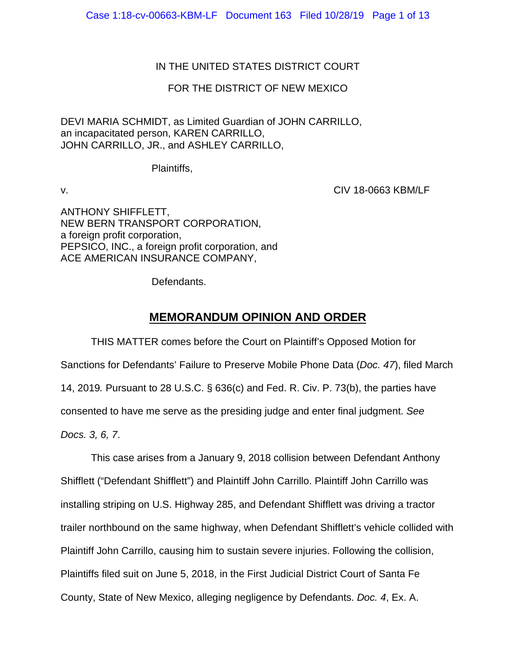# IN THE UNITED STATES DISTRICT COURT

# FOR THE DISTRICT OF NEW MEXICO

DEVI MARIA SCHMIDT, as Limited Guardian of JOHN CARRILLO, an incapacitated person, KAREN CARRILLO, JOHN CARRILLO, JR., and ASHLEY CARRILLO,

Plaintiffs,

v. CIV 18-0663 KBM/LF

ANTHONY SHIFFLETT, NEW BERN TRANSPORT CORPORATION, a foreign profit corporation, PEPSICO, INC., a foreign profit corporation, and ACE AMERICAN INSURANCE COMPANY,

Defendants.

# **MEMORANDUM OPINION AND ORDER**

THIS MATTER comes before the Court on Plaintiff's Opposed Motion for Sanctions for Defendants' Failure to Preserve Mobile Phone Data (*Doc. 47*), filed March 14, 2019*.* Pursuant to 28 U.S.C. § 636(c) and Fed. R. Civ. P. 73(b), the parties have consented to have me serve as the presiding judge and enter final judgment. *See Docs. 3, 6, 7*.

This case arises from a January 9, 2018 collision between Defendant Anthony Shifflett ("Defendant Shifflett") and Plaintiff John Carrillo. Plaintiff John Carrillo was installing striping on U.S. Highway 285, and Defendant Shifflett was driving a tractor trailer northbound on the same highway, when Defendant Shifflett's vehicle collided with Plaintiff John Carrillo, causing him to sustain severe injuries. Following the collision, Plaintiffs filed suit on June 5, 2018, in the First Judicial District Court of Santa Fe County, State of New Mexico, alleging negligence by Defendants. *Doc. 4*, Ex. A.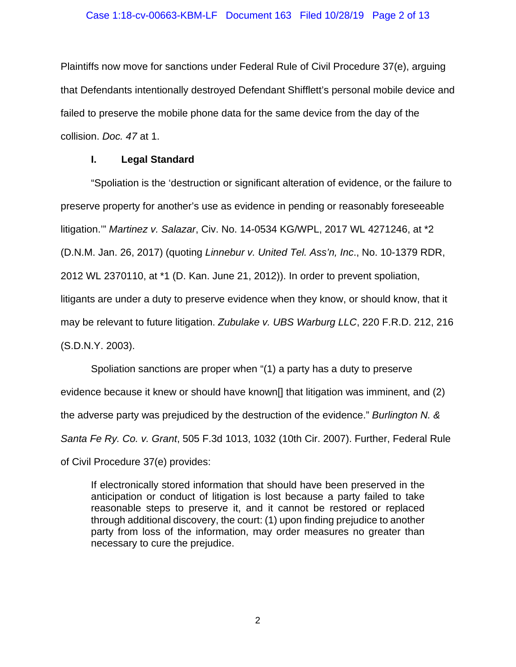### Case 1:18-cv-00663-KBM-LF Document 163 Filed 10/28/19 Page 2 of 13

Plaintiffs now move for sanctions under Federal Rule of Civil Procedure 37(e), arguing that Defendants intentionally destroyed Defendant Shifflett's personal mobile device and failed to preserve the mobile phone data for the same device from the day of the collision. *Doc. 47* at 1.

### **I. Legal Standard**

"Spoliation is the 'destruction or significant alteration of evidence, or the failure to preserve property for another's use as evidence in pending or reasonably foreseeable litigation.'" *Martinez v. Salazar*, Civ. No. 14-0534 KG/WPL, 2017 WL 4271246, at \*2 (D.N.M. Jan. 26, 2017) (quoting *Linnebur v. United Tel. Ass'n, Inc*., No. 10-1379 RDR, 2012 WL 2370110, at \*1 (D. Kan. June 21, 2012)). In order to prevent spoliation, litigants are under a duty to preserve evidence when they know, or should know, that it may be relevant to future litigation. *Zubulake v. UBS Warburg LLC*, 220 F.R.D. 212, 216 (S.D.N.Y. 2003).

Spoliation sanctions are proper when "(1) a party has a duty to preserve evidence because it knew or should have known[] that litigation was imminent, and (2) the adverse party was prejudiced by the destruction of the evidence." *Burlington N. & Santa Fe Ry. Co. v. Grant*, 505 F.3d 1013, 1032 (10th Cir. 2007). Further, Federal Rule of Civil Procedure 37(e) provides:

If electronically stored information that should have been preserved in the anticipation or conduct of litigation is lost because a party failed to take reasonable steps to preserve it, and it cannot be restored or replaced through additional discovery, the court: (1) upon finding prejudice to another party from loss of the information, may order measures no greater than necessary to cure the prejudice.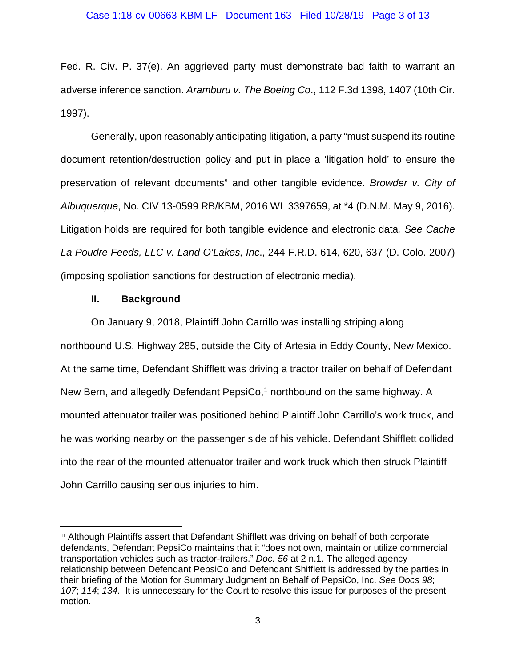Fed. R. Civ. P. 37(e). An aggrieved party must demonstrate bad faith to warrant an adverse inference sanction. *Aramburu v. The Boeing Co*., 112 F.3d 1398, 1407 (10th Cir. 1997).

Generally, upon reasonably anticipating litigation, a party "must suspend its routine document retention/destruction policy and put in place a 'litigation hold' to ensure the preservation of relevant documents" and other tangible evidence. *Browder v. City of Albuquerque*, No. CIV 13-0599 RB/KBM, 2016 WL 3397659, at \*4 (D.N.M. May 9, 2016). Litigation holds are required for both tangible evidence and electronic data*. See Cache La Poudre Feeds, LLC v. Land O'Lakes, Inc*., 244 F.R.D. 614, 620, 637 (D. Colo. 2007) (imposing spoliation sanctions for destruction of electronic media).

### **II. Background**

On January 9, 2018, Plaintiff John Carrillo was installing striping along northbound U.S. Highway 285, outside the City of Artesia in Eddy County, New Mexico. At the same time, Defendant Shifflett was driving a tractor trailer on behalf of Defendant New Bern, and allegedly Defendant PepsiCo, [1](#page-2-0) northbound on the same highway. A mounted attenuator trailer was positioned behind Plaintiff John Carrillo's work truck, and he was working nearby on the passenger side of his vehicle. Defendant Shifflett collided into the rear of the mounted attenuator trailer and work truck which then struck Plaintiff John Carrillo causing serious injuries to him.

<span id="page-2-0"></span><sup>&</sup>lt;sup>11</sup> Although Plaintiffs assert that Defendant Shifflett was driving on behalf of both corporate defendants, Defendant PepsiCo maintains that it "does not own, maintain or utilize commercial transportation vehicles such as tractor-trailers." *Doc. 56* at 2 n.1. The alleged agency relationship between Defendant PepsiCo and Defendant Shifflett is addressed by the parties in their briefing of the Motion for Summary Judgment on Behalf of PepsiCo, Inc. *See Docs 98*; *107*; *114*; *134*. It is unnecessary for the Court to resolve this issue for purposes of the present motion.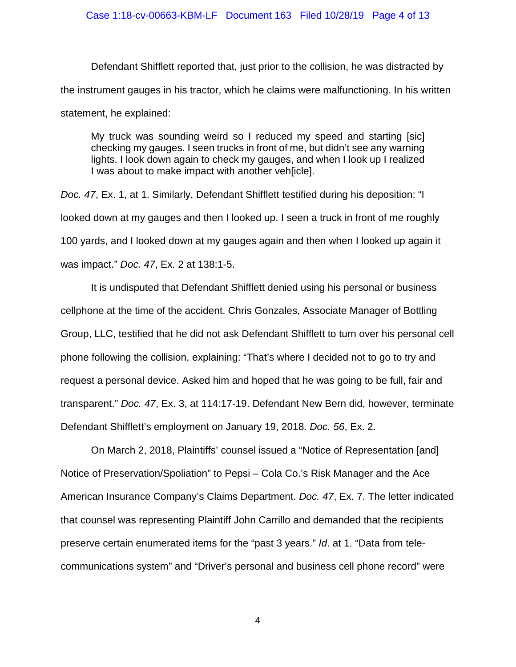Defendant Shifflett reported that, just prior to the collision, he was distracted by the instrument gauges in his tractor, which he claims were malfunctioning. In his written statement, he explained:

My truck was sounding weird so I reduced my speed and starting [sic] checking my gauges. I seen trucks in front of me, but didn't see any warning lights. I look down again to check my gauges, and when I look up I realized I was about to make impact with another veh[icle].

*Doc. 47*, Ex. 1, at 1. Similarly, Defendant Shifflett testified during his deposition: "I looked down at my gauges and then I looked up. I seen a truck in front of me roughly 100 yards, and I looked down at my gauges again and then when I looked up again it was impact." *Doc. 47*, Ex. 2 at 138:1-5.

It is undisputed that Defendant Shifflett denied using his personal or business cellphone at the time of the accident. Chris Gonzales, Associate Manager of Bottling Group, LLC, testified that he did not ask Defendant Shifflett to turn over his personal cell phone following the collision, explaining: "That's where I decided not to go to try and request a personal device. Asked him and hoped that he was going to be full, fair and transparent." *Doc. 47*, Ex. 3, at 114:17-19. Defendant New Bern did, however, terminate Defendant Shifflett's employment on January 19, 2018. *Doc. 56*, Ex. 2.

On March 2, 2018, Plaintiffs' counsel issued a "Notice of Representation [and] Notice of Preservation/Spoliation" to Pepsi – Cola Co.'s Risk Manager and the Ace American Insurance Company's Claims Department. *Doc. 47*, Ex. 7. The letter indicated that counsel was representing Plaintiff John Carrillo and demanded that the recipients preserve certain enumerated items for the "past 3 years." *Id*. at 1. "Data from telecommunications system" and "Driver's personal and business cell phone record" were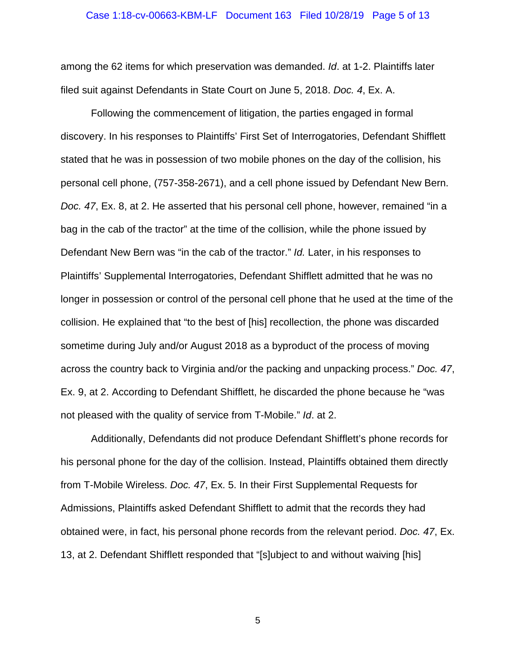#### Case 1:18-cv-00663-KBM-LF Document 163 Filed 10/28/19 Page 5 of 13

among the 62 items for which preservation was demanded. *Id*. at 1-2. Plaintiffs later filed suit against Defendants in State Court on June 5, 2018. *Doc. 4*, Ex. A.

Following the commencement of litigation, the parties engaged in formal discovery. In his responses to Plaintiffs' First Set of Interrogatories, Defendant Shifflett stated that he was in possession of two mobile phones on the day of the collision, his personal cell phone, (757-358-2671), and a cell phone issued by Defendant New Bern. *Doc. 47*, Ex. 8, at 2. He asserted that his personal cell phone, however, remained "in a bag in the cab of the tractor" at the time of the collision, while the phone issued by Defendant New Bern was "in the cab of the tractor." *Id.* Later, in his responses to Plaintiffs' Supplemental Interrogatories, Defendant Shifflett admitted that he was no longer in possession or control of the personal cell phone that he used at the time of the collision. He explained that "to the best of [his] recollection, the phone was discarded sometime during July and/or August 2018 as a byproduct of the process of moving across the country back to Virginia and/or the packing and unpacking process." *Doc. 47*, Ex. 9, at 2. According to Defendant Shifflett, he discarded the phone because he "was not pleased with the quality of service from T-Mobile." *Id*. at 2.

Additionally, Defendants did not produce Defendant Shifflett's phone records for his personal phone for the day of the collision. Instead, Plaintiffs obtained them directly from T-Mobile Wireless. *Doc. 47*, Ex. 5. In their First Supplemental Requests for Admissions, Plaintiffs asked Defendant Shifflett to admit that the records they had obtained were, in fact, his personal phone records from the relevant period. *Doc. 47*, Ex. 13, at 2. Defendant Shifflett responded that "[s]ubject to and without waiving [his]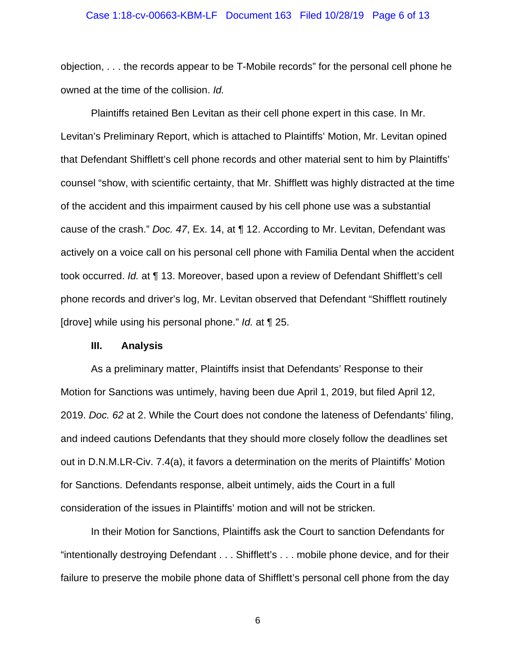### Case 1:18-cv-00663-KBM-LF Document 163 Filed 10/28/19 Page 6 of 13

objection, . . . the records appear to be T-Mobile records" for the personal cell phone he owned at the time of the collision. *Id.*

Plaintiffs retained Ben Levitan as their cell phone expert in this case. In Mr. Levitan's Preliminary Report, which is attached to Plaintiffs' Motion, Mr. Levitan opined that Defendant Shifflett's cell phone records and other material sent to him by Plaintiffs' counsel "show, with scientific certainty, that Mr. Shifflett was highly distracted at the time of the accident and this impairment caused by his cell phone use was a substantial cause of the crash." *Doc. 47*, Ex. 14, at ¶ 12. According to Mr. Levitan, Defendant was actively on a voice call on his personal cell phone with Familia Dental when the accident took occurred. *Id.* at ¶ 13. Moreover, based upon a review of Defendant Shifflett's cell phone records and driver's log, Mr. Levitan observed that Defendant "Shifflett routinely [drove] while using his personal phone." *Id.* at ¶ 25.

### **III. Analysis**

As a preliminary matter, Plaintiffs insist that Defendants' Response to their Motion for Sanctions was untimely, having been due April 1, 2019, but filed April 12, 2019. *Doc. 62* at 2. While the Court does not condone the lateness of Defendants' filing, and indeed cautions Defendants that they should more closely follow the deadlines set out in D.N.M.LR-Civ. 7.4(a), it favors a determination on the merits of Plaintiffs' Motion for Sanctions. Defendants response, albeit untimely, aids the Court in a full consideration of the issues in Plaintiffs' motion and will not be stricken.

In their Motion for Sanctions, Plaintiffs ask the Court to sanction Defendants for "intentionally destroying Defendant . . . Shifflett's . . . mobile phone device, and for their failure to preserve the mobile phone data of Shifflett's personal cell phone from the day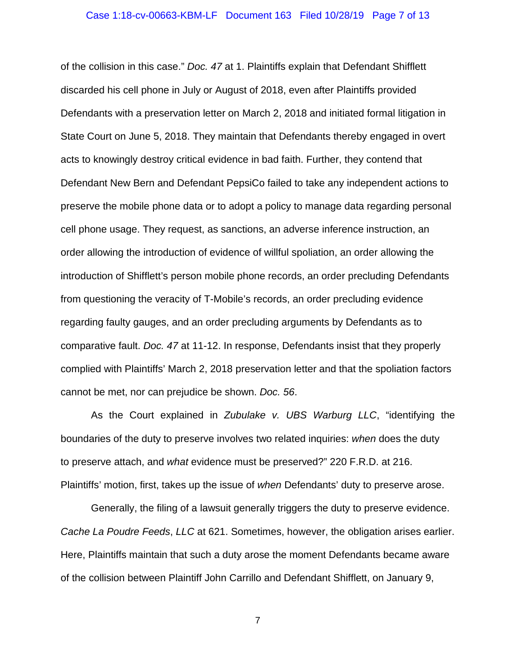### Case 1:18-cv-00663-KBM-LF Document 163 Filed 10/28/19 Page 7 of 13

of the collision in this case." *Doc. 47* at 1. Plaintiffs explain that Defendant Shifflett discarded his cell phone in July or August of 2018, even after Plaintiffs provided Defendants with a preservation letter on March 2, 2018 and initiated formal litigation in State Court on June 5, 2018. They maintain that Defendants thereby engaged in overt acts to knowingly destroy critical evidence in bad faith. Further, they contend that Defendant New Bern and Defendant PepsiCo failed to take any independent actions to preserve the mobile phone data or to adopt a policy to manage data regarding personal cell phone usage. They request, as sanctions, an adverse inference instruction, an order allowing the introduction of evidence of willful spoliation, an order allowing the introduction of Shifflett's person mobile phone records, an order precluding Defendants from questioning the veracity of T-Mobile's records, an order precluding evidence regarding faulty gauges, and an order precluding arguments by Defendants as to comparative fault. *Doc. 47* at 11-12. In response, Defendants insist that they properly complied with Plaintiffs' March 2, 2018 preservation letter and that the spoliation factors cannot be met, nor can prejudice be shown. *Doc. 56*.

As the Court explained in *Zubulake v. UBS Warburg LLC*, "identifying the boundaries of the duty to preserve involves two related inquiries: *when* does the duty to preserve attach, and *what* evidence must be preserved?" 220 F.R.D. at 216. Plaintiffs' motion, first, takes up the issue of *when* Defendants' duty to preserve arose.

Generally, the filing of a lawsuit generally triggers the duty to preserve evidence. *Cache La Poudre Feeds*, *LLC* at 621. Sometimes, however, the obligation arises earlier. Here, Plaintiffs maintain that such a duty arose the moment Defendants became aware of the collision between Plaintiff John Carrillo and Defendant Shifflett, on January 9,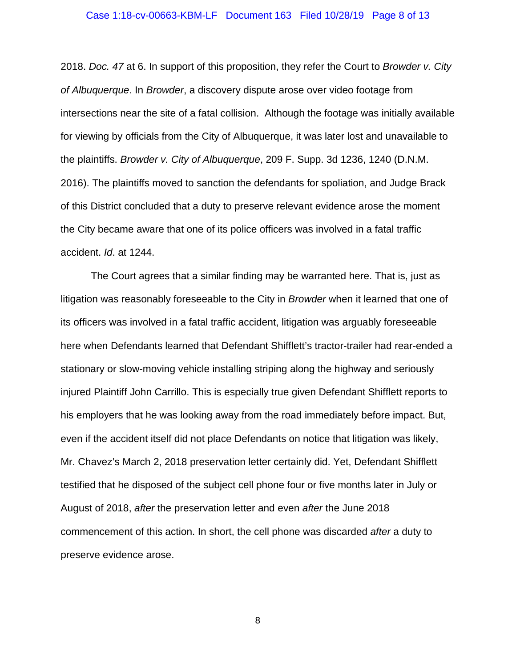### Case 1:18-cv-00663-KBM-LF Document 163 Filed 10/28/19 Page 8 of 13

2018. *Doc. 47* at 6. In support of this proposition, they refer the Court to *Browder v. City of Albuquerque*. In *Browder*, a discovery dispute arose over video footage from intersections near the site of a fatal collision. Although the footage was initially available for viewing by officials from the City of Albuquerque, it was later lost and unavailable to the plaintiffs. *Browder v. City of Albuquerque*, 209 F. Supp. 3d 1236, 1240 (D.N.M. 2016). The plaintiffs moved to sanction the defendants for spoliation, and Judge Brack of this District concluded that a duty to preserve relevant evidence arose the moment the City became aware that one of its police officers was involved in a fatal traffic accident. *Id*. at 1244.

The Court agrees that a similar finding may be warranted here. That is, just as litigation was reasonably foreseeable to the City in *Browder* when it learned that one of its officers was involved in a fatal traffic accident, litigation was arguably foreseeable here when Defendants learned that Defendant Shifflett's tractor-trailer had rear-ended a stationary or slow-moving vehicle installing striping along the highway and seriously injured Plaintiff John Carrillo. This is especially true given Defendant Shifflett reports to his employers that he was looking away from the road immediately before impact. But, even if the accident itself did not place Defendants on notice that litigation was likely, Mr. Chavez's March 2, 2018 preservation letter certainly did. Yet, Defendant Shifflett testified that he disposed of the subject cell phone four or five months later in July or August of 2018, *after* the preservation letter and even *after* the June 2018 commencement of this action. In short, the cell phone was discarded *after* a duty to preserve evidence arose.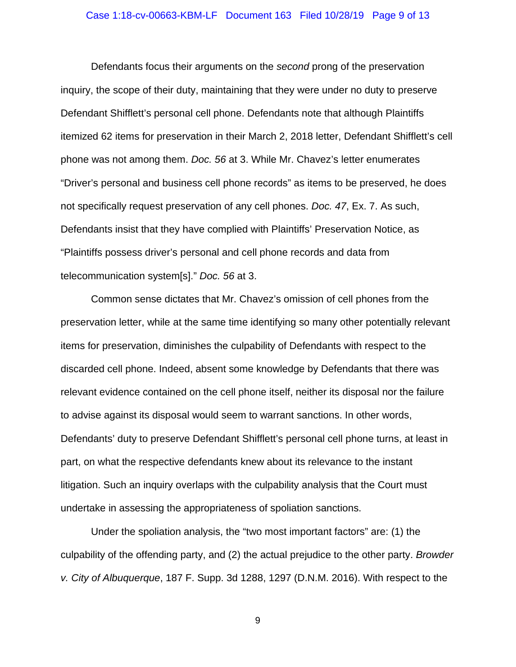### Case 1:18-cv-00663-KBM-LF Document 163 Filed 10/28/19 Page 9 of 13

Defendants focus their arguments on the *second* prong of the preservation inquiry, the scope of their duty, maintaining that they were under no duty to preserve Defendant Shifflett's personal cell phone. Defendants note that although Plaintiffs itemized 62 items for preservation in their March 2, 2018 letter, Defendant Shifflett's cell phone was not among them. *Doc. 56* at 3. While Mr. Chavez's letter enumerates "Driver's personal and business cell phone records" as items to be preserved, he does not specifically request preservation of any cell phones. *Doc. 47*, Ex. 7. As such, Defendants insist that they have complied with Plaintiffs' Preservation Notice, as "Plaintiffs possess driver's personal and cell phone records and data from telecommunication system[s]." *Doc. 56* at 3.

Common sense dictates that Mr. Chavez's omission of cell phones from the preservation letter, while at the same time identifying so many other potentially relevant items for preservation, diminishes the culpability of Defendants with respect to the discarded cell phone. Indeed, absent some knowledge by Defendants that there was relevant evidence contained on the cell phone itself, neither its disposal nor the failure to advise against its disposal would seem to warrant sanctions. In other words, Defendants' duty to preserve Defendant Shifflett's personal cell phone turns, at least in part, on what the respective defendants knew about its relevance to the instant litigation. Such an inquiry overlaps with the culpability analysis that the Court must undertake in assessing the appropriateness of spoliation sanctions.

Under the spoliation analysis, the "two most important factors" are: (1) the culpability of the offending party, and (2) the actual prejudice to the other party. *Browder v. City of Albuquerque*, 187 F. Supp. 3d 1288, 1297 (D.N.M. 2016). With respect to the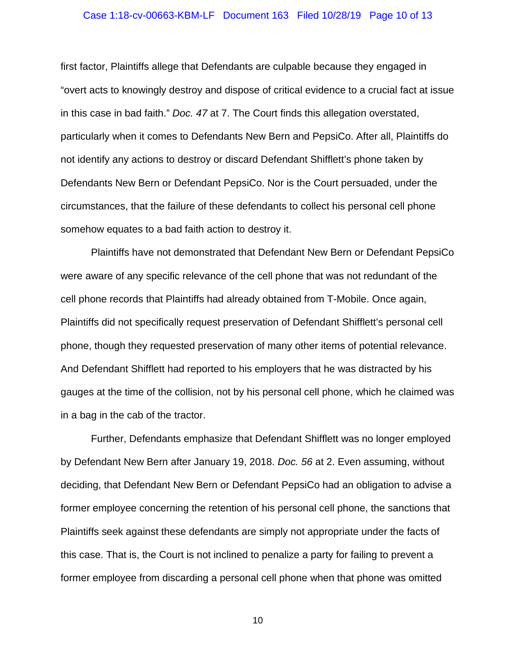### Case 1:18-cv-00663-KBM-LF Document 163 Filed 10/28/19 Page 10 of 13

first factor, Plaintiffs allege that Defendants are culpable because they engaged in "overt acts to knowingly destroy and dispose of critical evidence to a crucial fact at issue in this case in bad faith." *Doc. 47* at 7. The Court finds this allegation overstated, particularly when it comes to Defendants New Bern and PepsiCo. After all, Plaintiffs do not identify any actions to destroy or discard Defendant Shifflett's phone taken by Defendants New Bern or Defendant PepsiCo. Nor is the Court persuaded, under the circumstances, that the failure of these defendants to collect his personal cell phone somehow equates to a bad faith action to destroy it.

Plaintiffs have not demonstrated that Defendant New Bern or Defendant PepsiCo were aware of any specific relevance of the cell phone that was not redundant of the cell phone records that Plaintiffs had already obtained from T-Mobile. Once again, Plaintiffs did not specifically request preservation of Defendant Shifflett's personal cell phone, though they requested preservation of many other items of potential relevance. And Defendant Shifflett had reported to his employers that he was distracted by his gauges at the time of the collision, not by his personal cell phone, which he claimed was in a bag in the cab of the tractor.

Further, Defendants emphasize that Defendant Shifflett was no longer employed by Defendant New Bern after January 19, 2018. *Doc. 56* at 2. Even assuming, without deciding, that Defendant New Bern or Defendant PepsiCo had an obligation to advise a former employee concerning the retention of his personal cell phone, the sanctions that Plaintiffs seek against these defendants are simply not appropriate under the facts of this case. That is, the Court is not inclined to penalize a party for failing to prevent a former employee from discarding a personal cell phone when that phone was omitted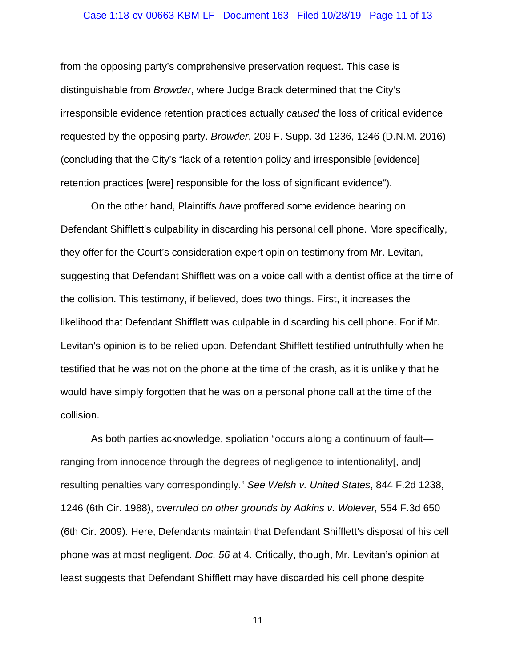### Case 1:18-cv-00663-KBM-LF Document 163 Filed 10/28/19 Page 11 of 13

from the opposing party's comprehensive preservation request. This case is distinguishable from *Browder*, where Judge Brack determined that the City's irresponsible evidence retention practices actually *caused* the loss of critical evidence requested by the opposing party. *Browder*, 209 F. Supp. 3d 1236, 1246 (D.N.M. 2016) (concluding that the City's "lack of a retention policy and irresponsible [evidence] retention practices [were] responsible for the loss of significant evidence").

On the other hand, Plaintiffs *have* proffered some evidence bearing on Defendant Shifflett's culpability in discarding his personal cell phone. More specifically, they offer for the Court's consideration expert opinion testimony from Mr. Levitan, suggesting that Defendant Shifflett was on a voice call with a dentist office at the time of the collision. This testimony, if believed, does two things. First, it increases the likelihood that Defendant Shifflett was culpable in discarding his cell phone. For if Mr. Levitan's opinion is to be relied upon, Defendant Shifflett testified untruthfully when he testified that he was not on the phone at the time of the crash, as it is unlikely that he would have simply forgotten that he was on a personal phone call at the time of the collision.

As both parties acknowledge, spoliation "occurs along a continuum of fault ranging from innocence through the degrees of negligence to intentionality[, and] resulting penalties vary correspondingly." *See Welsh v. United States*, 844 F.2d 1238, 1246 (6th Cir. 1988), *overruled on other grounds by Adkins v. Wolever,* 554 F.3d 650 (6th Cir. 2009). Here, Defendants maintain that Defendant Shifflett's disposal of his cell phone was at most negligent. *Doc. 56* at 4. Critically, though, Mr. Levitan's opinion at least suggests that Defendant Shifflett may have discarded his cell phone despite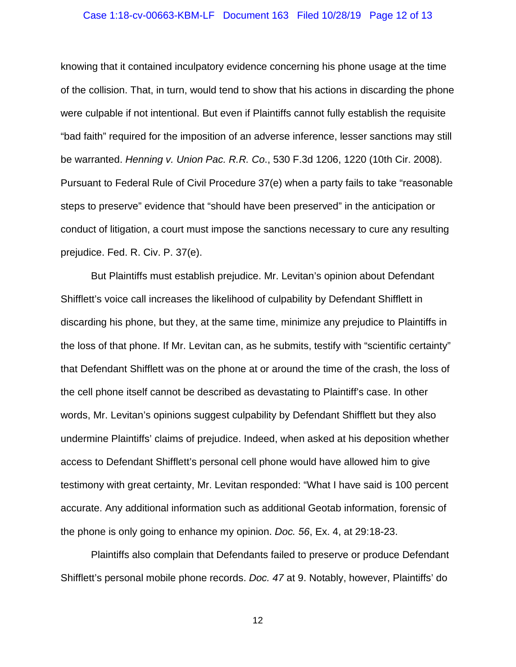### Case 1:18-cv-00663-KBM-LF Document 163 Filed 10/28/19 Page 12 of 13

knowing that it contained inculpatory evidence concerning his phone usage at the time of the collision. That, in turn, would tend to show that his actions in discarding the phone were culpable if not intentional. But even if Plaintiffs cannot fully establish the requisite "bad faith" required for the imposition of an adverse inference, lesser sanctions may still be warranted. *Henning v. Union Pac. R.R. Co*., 530 F.3d 1206, 1220 (10th Cir. 2008). Pursuant to Federal Rule of Civil Procedure 37(e) when a party fails to take "reasonable steps to preserve" evidence that "should have been preserved" in the anticipation or conduct of litigation, a court must impose the sanctions necessary to cure any resulting prejudice. Fed. R. Civ. P. 37(e).

But Plaintiffs must establish prejudice. Mr. Levitan's opinion about Defendant Shifflett's voice call increases the likelihood of culpability by Defendant Shifflett in discarding his phone, but they, at the same time, minimize any prejudice to Plaintiffs in the loss of that phone. If Mr. Levitan can, as he submits, testify with "scientific certainty" that Defendant Shifflett was on the phone at or around the time of the crash, the loss of the cell phone itself cannot be described as devastating to Plaintiff's case. In other words, Mr. Levitan's opinions suggest culpability by Defendant Shifflett but they also undermine Plaintiffs' claims of prejudice. Indeed, when asked at his deposition whether access to Defendant Shifflett's personal cell phone would have allowed him to give testimony with great certainty, Mr. Levitan responded: "What I have said is 100 percent accurate. Any additional information such as additional Geotab information, forensic of the phone is only going to enhance my opinion. *Doc. 56*, Ex. 4, at 29:18-23.

Plaintiffs also complain that Defendants failed to preserve or produce Defendant Shifflett's personal mobile phone records. *Doc. 47* at 9. Notably, however, Plaintiffs' do